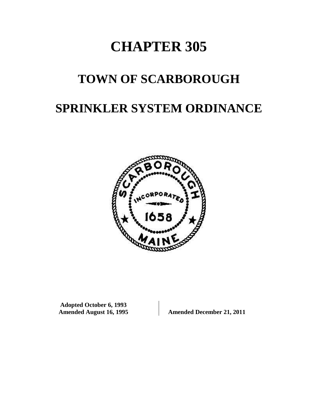# **CHAPTER 305**

# **TOWN OF SCARBOROUGH**

# **SPRINKLER SYSTEM ORDINANCE**



**Adopted October 6, 1993**

Amended December 21, 2011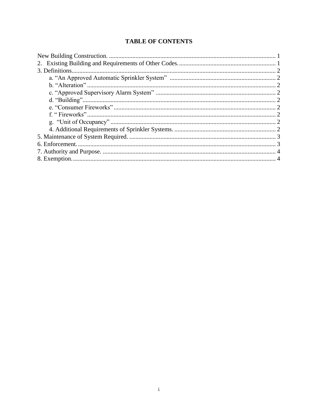# **TABLE OF CONTENTS**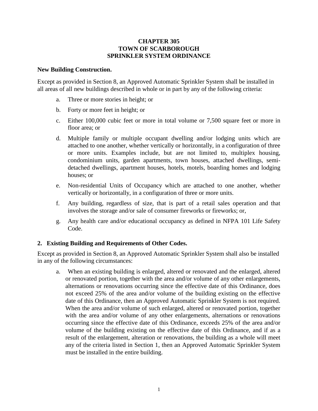#### **CHAPTER 305 TOWN OF SCARBOROUGH SPRINKLER SYSTEM ORDINANCE**

#### <span id="page-2-0"></span>**New Building Construction.**

Except as provided in Section 8, an Approved Automatic Sprinkler System shall be installed in all areas of all new buildings described in whole or in part by any of the following criteria:

- a. Three or more stories in height; or
- b. Forty or more feet in height; or
- c. Either 100,000 cubic feet or more in total volume or 7,500 square feet or more in floor area; or
- d. Multiple family or multiple occupant dwelling and/or lodging units which are attached to one another, whether vertically or horizontally, in a configuration of three or more units. Examples include, but are not limited to, multiplex housing, condominium units, garden apartments, town houses, attached dwellings, semidetached dwellings, apartment houses, hotels, motels, boarding homes and lodging houses; or
- e. Non-residential Units of Occupancy which are attached to one another, whether vertically or horizontally, in a configuration of three or more units.
- f. Any building, regardless of size, that is part of a retail sales operation and that involves the storage and/or sale of consumer fireworks or fireworks; or,
- g. Any health care and/or educational occupancy as defined in NFPA 101 Life Safety Code.

#### <span id="page-2-1"></span>**2. Existing Building and Requirements of Other Codes.**

Except as provided in Section 8, an Approved Automatic Sprinkler System shall also be installed in any of the following circumstances:

a. When an existing building is enlarged, altered or renovated and the enlarged, altered or renovated portion, together with the area and/or volume of any other enlargements, alternations or renovations occurring since the effective date of this Ordinance, does not exceed 25% of the area and/or volume of the building existing on the effective date of this Ordinance, then an Approved Automatic Sprinkler System is not required. When the area and/or volume of such enlarged, altered or renovated portion, together with the area and/or volume of any other enlargements, alternations or renovations occurring since the effective date of this Ordinance, exceeds 25% of the area and/or volume of the building existing on the effective date of this Ordinance, and if as a result of the enlargement, alteration or renovations, the building as a whole will meet any of the criteria listed in Section 1, then an Approved Automatic Sprinkler System must be installed in the entire building.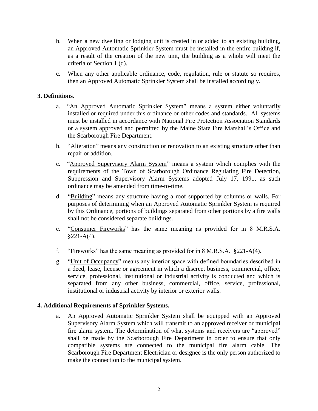- b. When a new dwelling or lodging unit is created in or added to an existing building, an Approved Automatic Sprinkler System must be installed in the entire building if, as a result of the creation of the new unit, the building as a whole will meet the criteria of Section 1 (d).
- c. When any other applicable ordinance, code, regulation, rule or statute so requires, then an Approved Automatic Sprinkler System shall be installed accordingly.

# <span id="page-3-1"></span><span id="page-3-0"></span>**3. Definitions.**

- a. "An Approved Automatic Sprinkler System" means a system either voluntarily installed or required under this ordinance or other codes and standards. All systems must be installed in accordance with National Fire Protection Association Standards or a system approved and permitted by the Maine State Fire Marshall's Office and the Scarborough Fire Department.
- b. "Alteration" means any construction or renovation to an existing structure other than repair or addition.
- <span id="page-3-2"></span>c. "Approved Supervisory Alarm System" means a system which complies with the requirements of the Town of Scarborough Ordinance Regulating Fire Detection, Suppression and Supervisory Alarm Systems adopted July 17, 1991, as such ordinance may be amended from time-to-time.
- <span id="page-3-3"></span>d. "Building" means any structure having a roof supported by columns or walls. For purposes of determining when an Approved Automatic Sprinkler System is required by this Ordinance, portions of buildings separated from other portions by a fire walls shall not be considered separate buildings.
- e. "Consumer Fireworks" has the same meaning as provided for in 8 M.R.S.A.  $§221-A(4).$
- f. "Fireworks" has the same meaning as provided for in 8 M.R.S.A. §221-A(4).
- g. "Unit of Occupancy" means any interior space with defined boundaries described in a deed, lease, license or agreement in which a discreet business, commercial, office, service, professional, institutional or industrial activity is conducted and which is separated from any other business, commercial, office, service, professional, institutional or industrial activity by interior or exterior walls.

#### <span id="page-3-4"></span>**4. Additional Requirements of Sprinkler Systems.**

a. An Approved Automatic Sprinkler System shall be equipped with an Approved Supervisory Alarm System which will transmit to an approved receiver or municipal fire alarm system. The determination of what systems and receivers are "approved" shall be made by the Scarborough Fire Department in order to ensure that only compatible systems are connected to the municipal fire alarm cable. The Scarborough Fire Department Electrician or designee is the only person authorized to make the connection to the municipal system.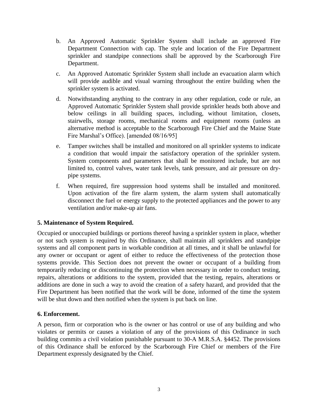- b. An Approved Automatic Sprinkler System shall include an approved Fire Department Connection with cap. The style and location of the Fire Department sprinkler and standpipe connections shall be approved by the Scarborough Fire Department.
- c. An Approved Automatic Sprinkler System shall include an evacuation alarm which will provide audible and visual warning throughout the entire building when the sprinkler system is activated.
- d. Notwithstanding anything to the contrary in any other regulation, code or rule, an Approved Automatic Sprinkler System shall provide sprinkler heads both above and below ceilings in all building spaces, including, without limitation, closets, stairwells, storage rooms, mechanical rooms and equipment rooms (unless an alternative method is acceptable to the Scarborough Fire Chief and the Maine State Fire Marshal's Office). [amended 08/16/95]
- e. Tamper switches shall be installed and monitored on all sprinkler systems to indicate a condition that would impair the satisfactory operation of the sprinkler system. System components and parameters that shall be monitored include, but are not limited to, control valves, water tank levels, tank pressure, and air pressure on drypipe systems.
- f. When required, fire suppression hood systems shall be installed and monitored. Upon activation of the fire alarm system, the alarm system shall automatically disconnect the fuel or energy supply to the protected appliances and the power to any ventilation and/or make-up air fans.

# <span id="page-4-0"></span>**5. Maintenance of System Required.**

Occupied or unoccupied buildings or portions thereof having a sprinkler system in place, whether or not such system is required by this Ordinance, shall maintain all sprinklers and standpipe systems and all component parts in workable condition at all times, and it shall be unlawful for any owner or occupant or agent of either to reduce the effectiveness of the protection those systems provide. This Section does not prevent the owner or occupant of a building from temporarily reducing or discontinuing the protection when necessary in order to conduct testing, repairs, alterations or additions to the system, provided that the testing, repairs, alterations or additions are done in such a way to avoid the creation of a safety hazard, and provided that the Fire Department has been notified that the work will be done, informed of the time the system will be shut down and then notified when the system is put back on line.

# <span id="page-4-1"></span>**6. Enforcement.**

A person, firm or corporation who is the owner or has control or use of any building and who violates or permits or causes a violation of any of the provisions of this Ordinance in such building commits a civil violation punishable pursuant to 30-A M.R.S.A. §4452. The provisions of this Ordinance shall be enforced by the Scarborough Fire Chief or members of the Fire Department expressly designated by the Chief.